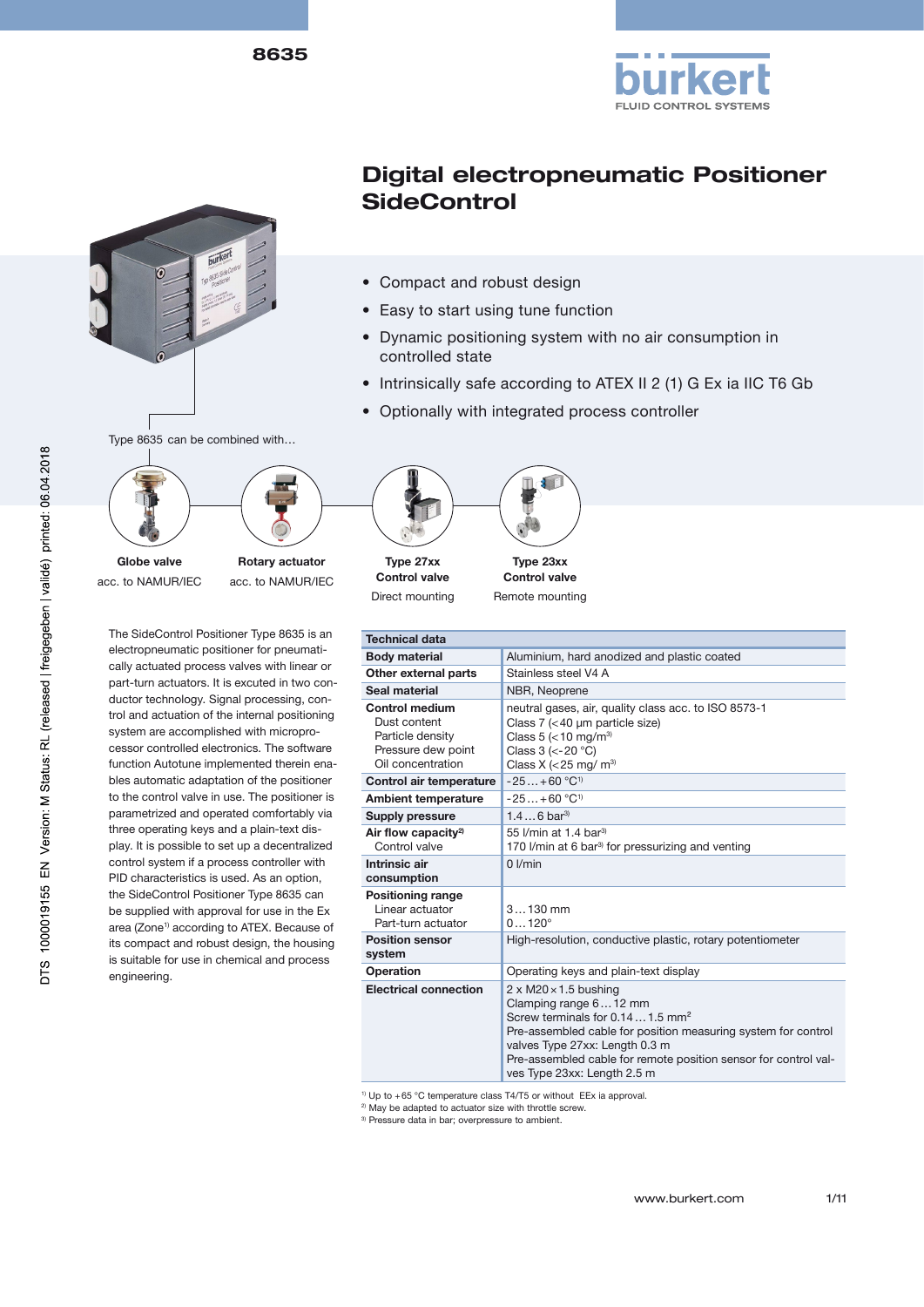





- Compact and robust design
- Easy to start using tune function
- Dynamic positioning system with no air consumption in controlled state
- Intrinsically safe according to ATEX II 2 (1) G Ex ia IIC T6 Gb
- Optionally with integrated process controller



Globe valve acc. to NAMUR/IEC

Rotary actuator acc. to NAMUR/IEC

The SideControl Positioner Type 8635 is an electropneumatic positioner for pneumatically actuated process valves with linear or part-turn actuators. It is excuted in two conductor technology. Signal processing, control and actuation of the internal positioning system are accomplished with microprocessor controlled electronics. The software function Autotune implemented therein enables automatic adaptation of the positioner to the control valve in use. The positioner is parametrized and operated comfortably via three operating keys and a plain-text display. It is possible to set up a decentralized control system if a process controller with PID characteristics is used. As an option, the SideControl Positioner Type 8635 can be supplied with approval for use in the Ex area (Zone<sup>1)</sup> according to ATEX. Because of its compact and robust design, the housing is suitable for use in chemical and process engineering.



Type 27xx Control valve Direct mounting



Remote mounting

| <b>Technical data</b>                                                                         |                                                                                                                                                                                                                                                                                                                  |  |  |  |
|-----------------------------------------------------------------------------------------------|------------------------------------------------------------------------------------------------------------------------------------------------------------------------------------------------------------------------------------------------------------------------------------------------------------------|--|--|--|
| <b>Body material</b>                                                                          | Aluminium, hard anodized and plastic coated                                                                                                                                                                                                                                                                      |  |  |  |
| Other external parts                                                                          | Stainless steel V4 A                                                                                                                                                                                                                                                                                             |  |  |  |
| Seal material                                                                                 | NBR, Neoprene                                                                                                                                                                                                                                                                                                    |  |  |  |
| Control medium<br>Dust content<br>Particle density<br>Pressure dew point<br>Oil concentration | neutral gases, air, quality class acc. to ISO 8573-1<br>Class $7$ (<40 µm particle size)<br>Class 5 ( $<$ 10 mg/m <sup>3)</sup><br>Class $3$ (<-20 °C)<br>Class X ( $<$ 25 mg/ m <sup>3)</sup>                                                                                                                   |  |  |  |
| Control air temperature                                                                       | $-25+60 °C^{1}$                                                                                                                                                                                                                                                                                                  |  |  |  |
| <b>Ambient temperature</b>                                                                    | $-25 + 60$ °C <sup>1)</sup>                                                                                                                                                                                                                                                                                      |  |  |  |
| Supply pressure                                                                               | $1.46$ bar <sup>3)</sup>                                                                                                                                                                                                                                                                                         |  |  |  |
| Air flow capacity <sup>2)</sup><br>Control valve                                              | 55 I/min at 1.4 bar <sup>3)</sup><br>170 I/min at 6 bar <sup>3)</sup> for pressurizing and venting                                                                                                                                                                                                               |  |  |  |
| Intrinsic air<br>consumption                                                                  | $0$ I/min                                                                                                                                                                                                                                                                                                        |  |  |  |
| <b>Positioning range</b><br>Linear actuator<br>Part-turn actuator                             | $3130$ mm<br>$0120^{\circ}$                                                                                                                                                                                                                                                                                      |  |  |  |
| <b>Position sensor</b><br>system                                                              | High-resolution, conductive plastic, rotary potentiometer                                                                                                                                                                                                                                                        |  |  |  |
| Operation                                                                                     | Operating keys and plain-text display                                                                                                                                                                                                                                                                            |  |  |  |
| <b>Electrical connection</b>                                                                  | $2 \times M20 \times 1.5$ bushing<br>Clamping range 612 mm<br>Screw terminals for 0.14  1.5 mm <sup>2</sup><br>Pre-assembled cable for position measuring system for control<br>valves Type 27xx: Length 0.3 m<br>Pre-assembled cable for remote position sensor for control val-<br>ves Type 23xx: Length 2.5 m |  |  |  |

 $1)$  Up to  $+65$  °C temperature class T4/T5 or without EEx ia approval.

<sup>2)</sup> May be adapted to actuator size with throttle screw.

<sup>3)</sup> Pressure data in bar; overpressure to ambient.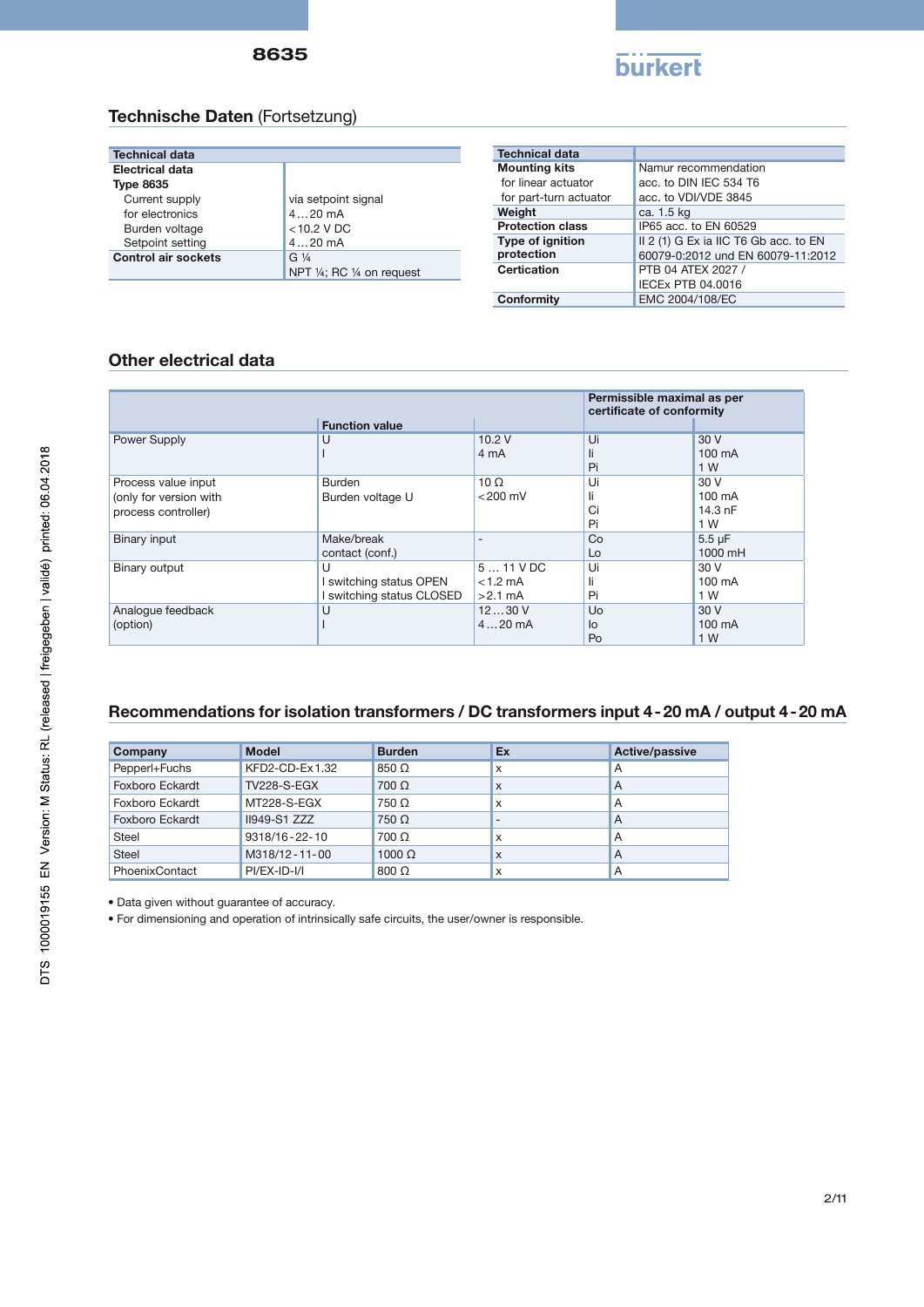

## Technische Daten (Fortsetzung)

| <b>Technical data</b>      |                            |
|----------------------------|----------------------------|
| <b>Electrical data</b>     |                            |
| <b>Type 8635</b>           |                            |
| Current supply             | via setpoint signal        |
| for electronics            | $420$ mA                   |
| Burden voltage             | $<$ 10.2 V DC              |
| Setpoint setting           | $420$ mA                   |
| <b>Control air sockets</b> | G $\frac{1}{4}$            |
|                            | NPT 1/4; RC 1/4 on request |

| <b>Technical data</b>   |                                       |
|-------------------------|---------------------------------------|
| <b>Mounting kits</b>    | Namur recommendation                  |
| for linear actuator     | acc. to DIN IEC 534 T6                |
| for part-turn actuator  | acc. to VDI/VDE 3845                  |
| Weight                  | ca. 1.5 kg                            |
| <b>Protection class</b> | IP65 acc. to EN 60529                 |
| <b>Type of ignition</b> | II 2 (1) G Ex ia IIC T6 Gb acc. to EN |
| protection              | 60079-0:2012 und EN 60079-11:2012     |
| <b>Certication</b>      | PTB 04 ATEX 2027 /                    |
|                         | IECEX PTB 04.0016                     |
| Conformity              | EMC 2004/108/EC                       |

#### Other electrical data

|                        |                           |             | Permissible maximal as per<br>certificate of conformity |                   |
|------------------------|---------------------------|-------------|---------------------------------------------------------|-------------------|
|                        | <b>Function value</b>     |             |                                                         |                   |
| Power Supply           | U                         | 10.2V       | Ui                                                      | 30 V              |
|                        |                           | 4 mA        | li                                                      | 100 mA            |
|                        |                           |             | Pi                                                      | 1 W               |
| Process value input    | <b>Burden</b>             | $10 \Omega$ | Ui                                                      | 30 V              |
| (only for version with | Burden voltage U          | $<$ 200 mV  |                                                         | $100 \text{ mA}$  |
| process controller)    |                           |             | Ci                                                      | $14.3 \text{ nF}$ |
|                        |                           |             | Pi                                                      | 1 W               |
| Binary input           | Make/break                |             | Co                                                      | $5.5 \mu F$       |
|                        | contact (conf.)           |             | Lo                                                      | 1000 mH           |
| Binary output          | U                         | $511$ VDC   | Ui                                                      | 30 V              |
|                        | I switching status OPEN   | $< 1.2$ mA  | li                                                      | $100 \text{ mA}$  |
|                        | I switching status CLOSED | $>2.1$ mA   | Pi                                                      | 1 W               |
| Analogue feedback      | U                         | 1230V       | Uo                                                      | 30 V              |
| (option)               |                           | $420$ mA    | lo                                                      | 100 mA            |
|                        |                           |             | Po                                                      | 1 W               |

## Recommendations for isolation transformers / DC transformers input 4-20 mA / output 4-20 mA

| Company         | <b>Model</b>        | <b>Burden</b> | Ex                       | Active/passive |
|-----------------|---------------------|---------------|--------------------------|----------------|
| Pepperl+Fuchs   | KFD2-CD-Ex1.32      | 850 Q         | x                        | A              |
| Foxboro Eckardt | <b>TV228-S-EGX</b>  | $700 \Omega$  | X                        | A              |
| Foxboro Eckardt | MT228-S-EGX         | 750 Ω         | x                        | A              |
| Foxboro Eckardt | <b>II949-S1 ZZZ</b> | 750 Ω         | $\overline{\phantom{0}}$ | A              |
| Steel           | 9318/16-22-10       | 700 Ω         | x                        | A              |
| <b>Steel</b>    | M318/12-11-00       | $1000 \Omega$ | x                        | A              |
| PhoenixContact  | $PI/EX-ID-1/1$      | $800 \Omega$  | x                        | A              |

• Data given without guarantee of accuracy.

• For dimensioning and operation of intrinsically safe circuits, the user/owner is responsible.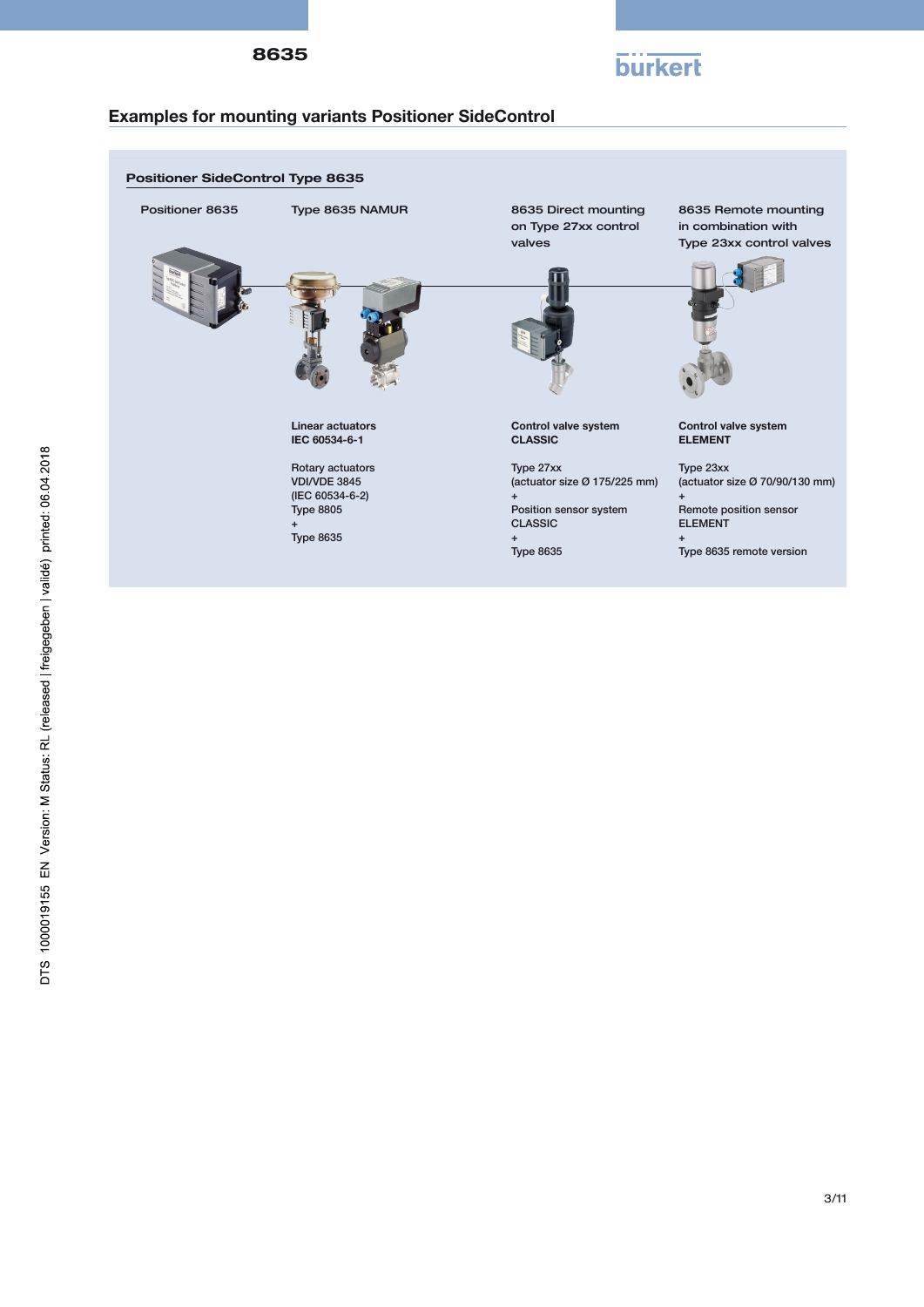



## Examples for mounting variants Positioner SideControl

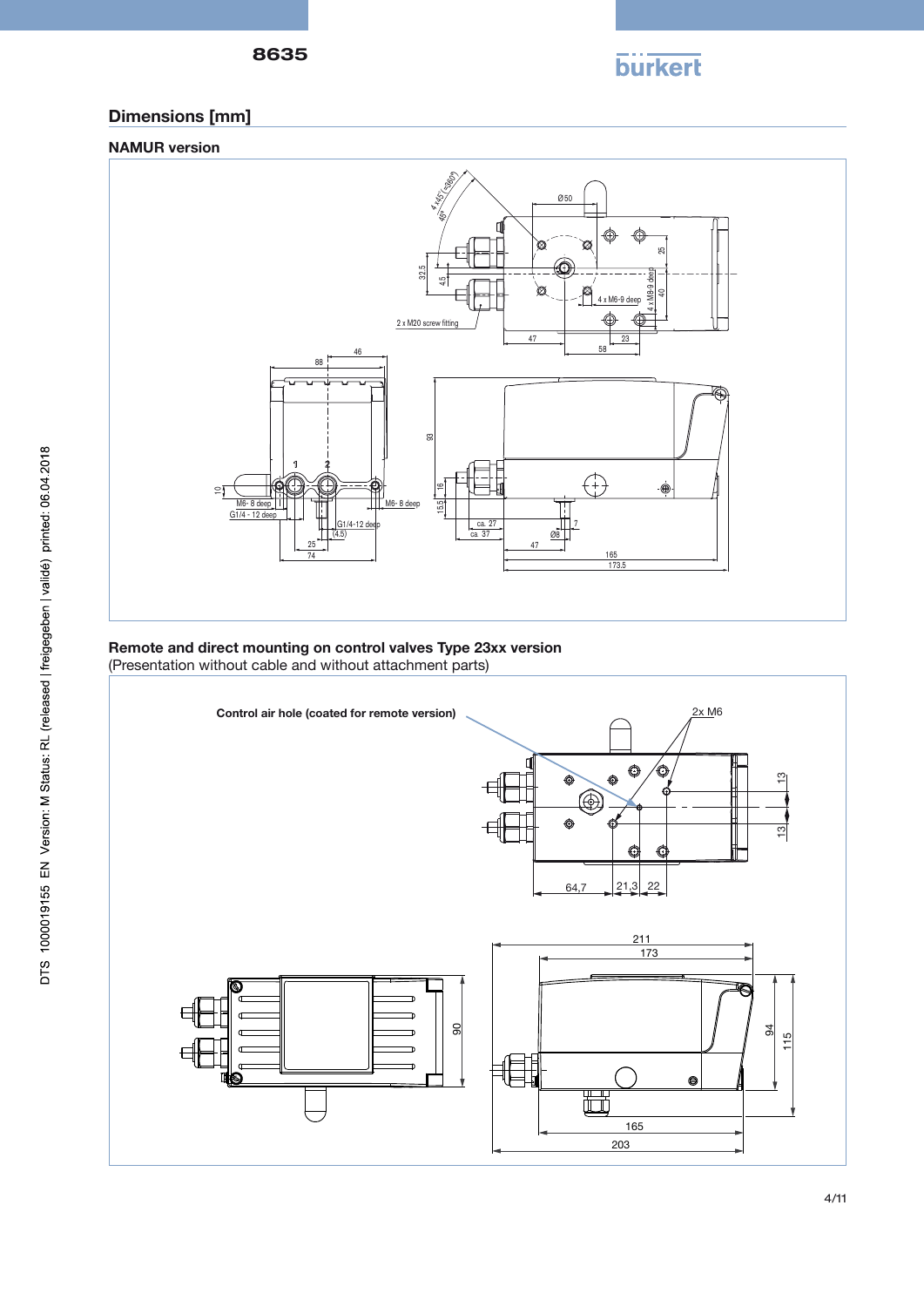8635

**burkert** 

# Dimensions [mm]





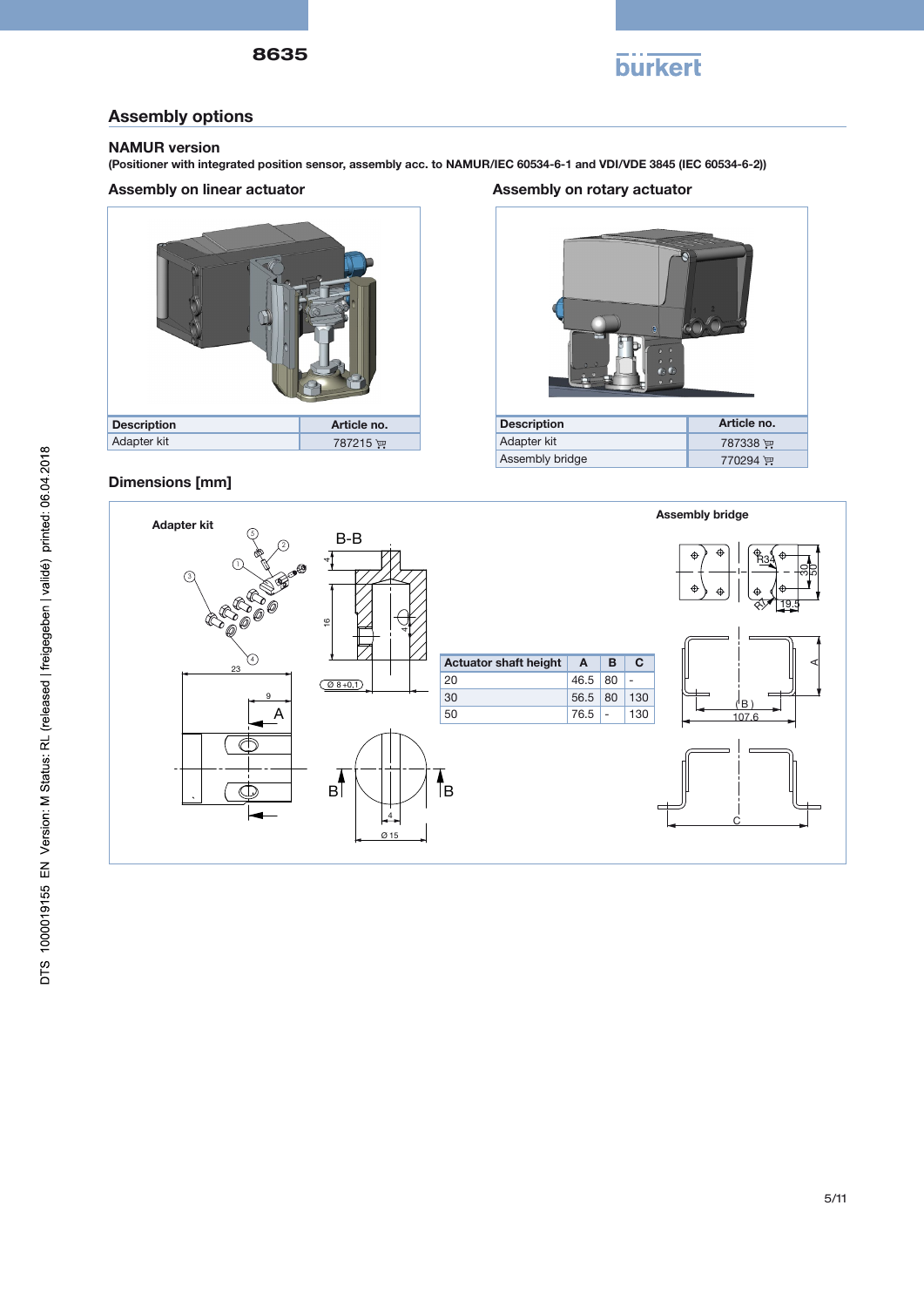

## Assembly options

#### NAMUR version

(Positioner with integrated position sensor, assembly acc. to NAMUR/IEC 60534-6-1 and VDI/VDE 3845 (IEC 60534-6-2))

#### Assembly on linear actuator



## Dimensions [mm]

Assembly on rotary actuator



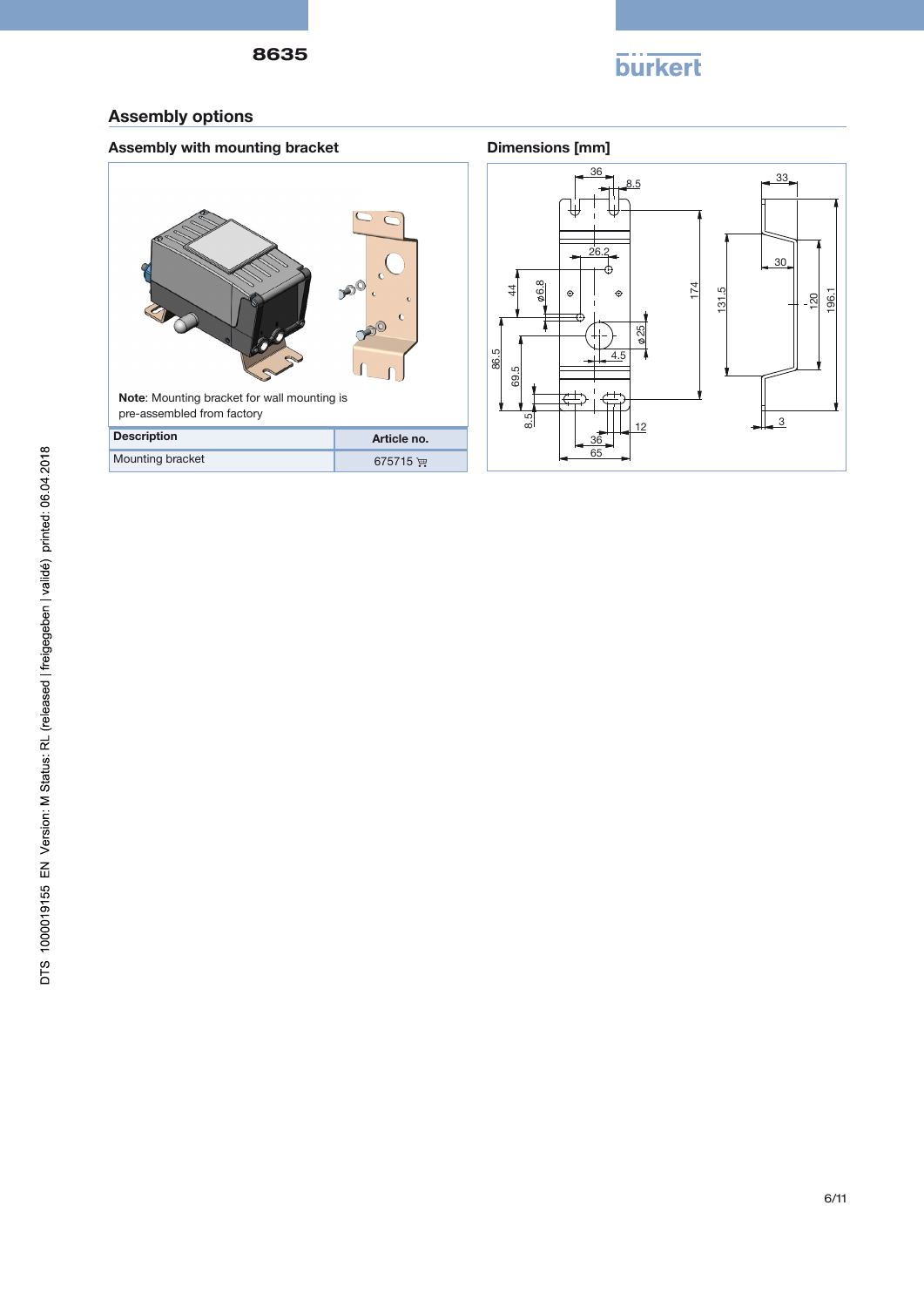

## Assembly options

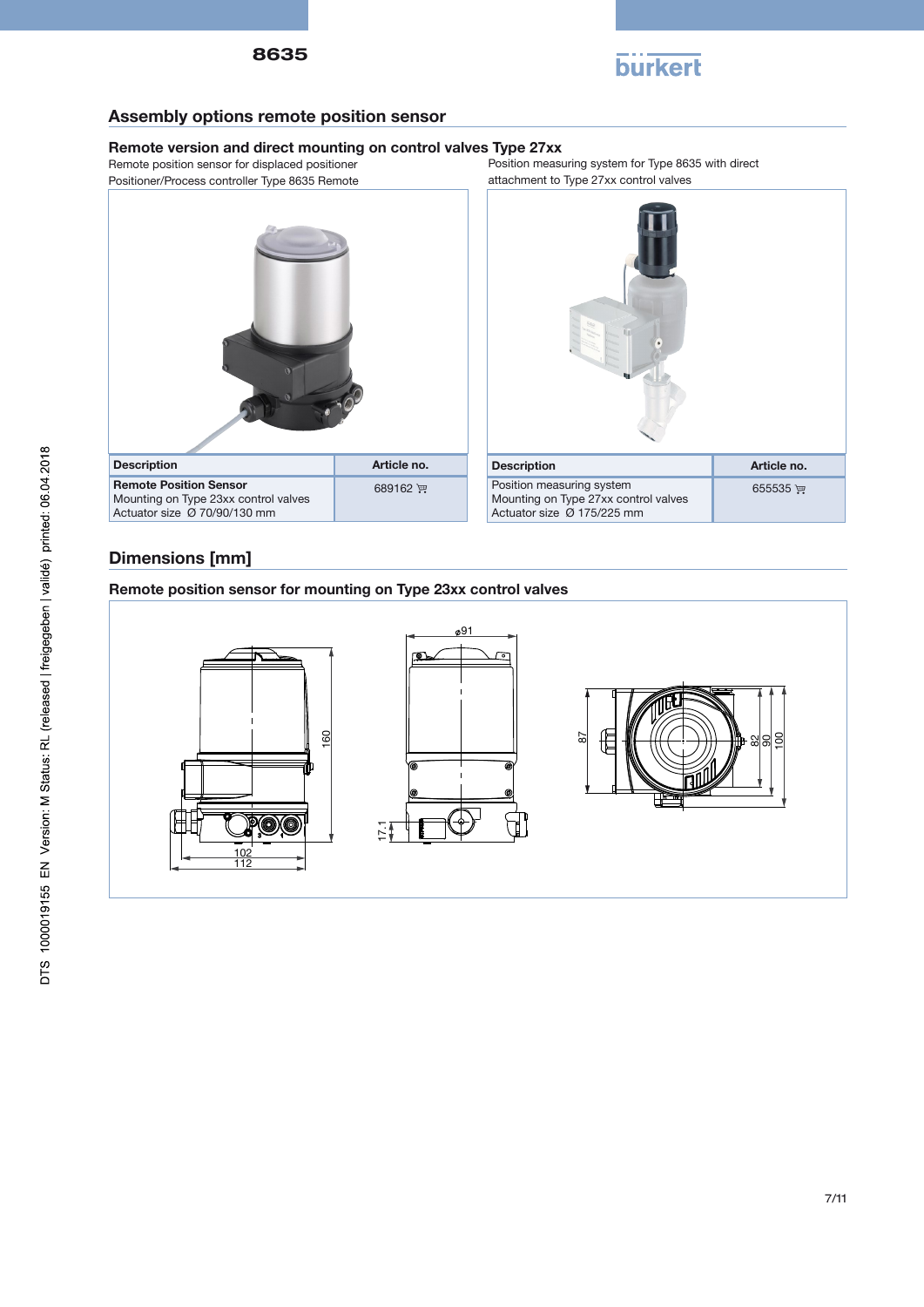



## Assembly options remote position sensor

#### Remote version and direct mounting on control valves Type 27xx

Remote position sensor for displaced positioner Positioner/Process controller Type 8635 Remote Position measuring system for Type 8635 with direct attachment to Type 27xx control valves





## Dimensions [mm]

Remote position sensor for mounting on Type 23xx control valves

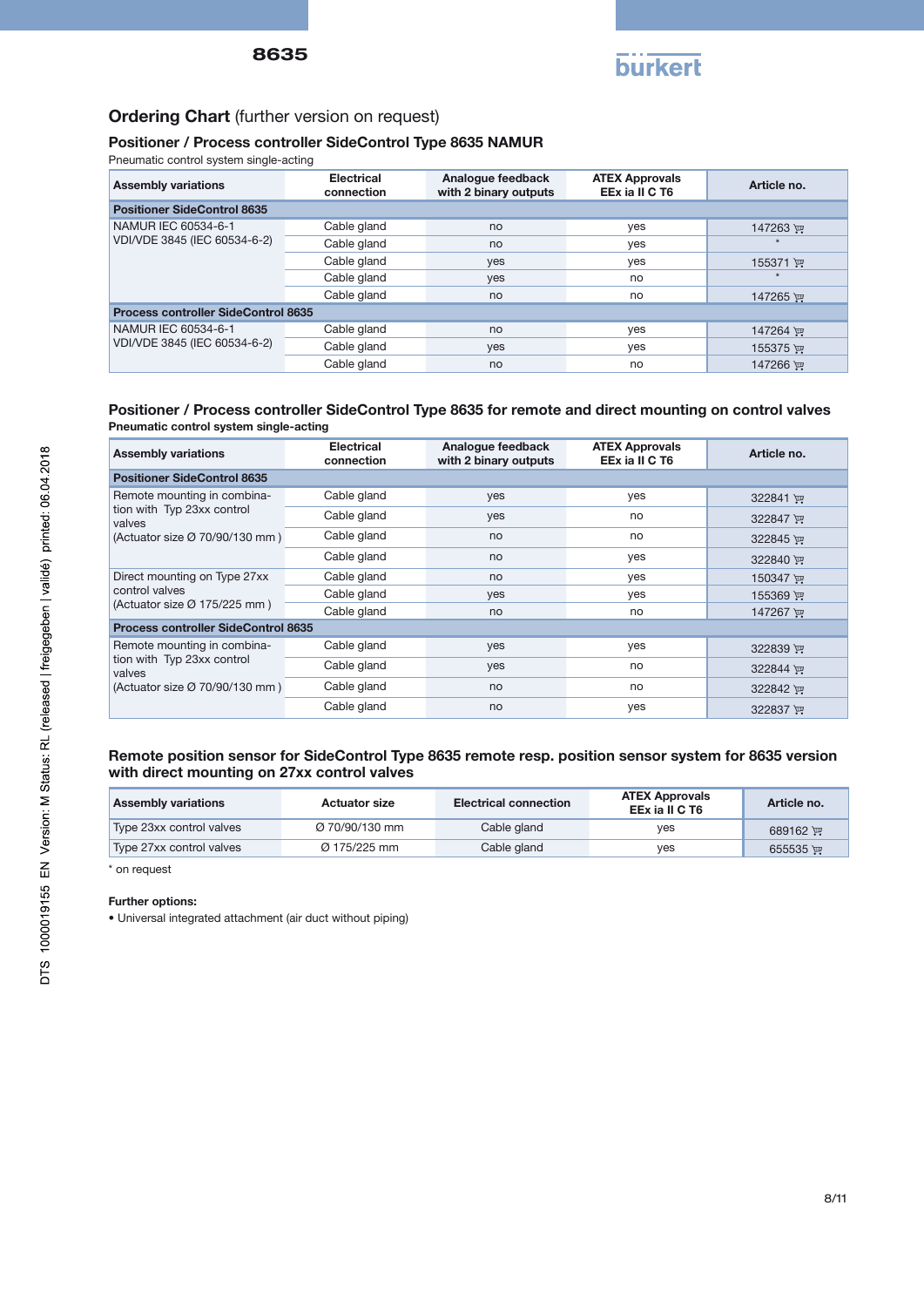

## Ordering Chart (further version on request)

#### Positioner / Process controller SideControl Type 8635 NAMUR

Pneumatic control system single-acting

| <b>Assembly variations</b>                 | <b>Electrical</b><br>connection | Analogue feedback<br>with 2 binary outputs | <b>ATEX Approvals</b><br>EEx ia II C T6 | Article no. |
|--------------------------------------------|---------------------------------|--------------------------------------------|-----------------------------------------|-------------|
| <b>Positioner SideControl 8635</b>         |                                 |                                            |                                         |             |
| NAMUR IEC 60534-6-1                        | Cable gland                     | no                                         | yes                                     | 147263 ਦਾ   |
| VDI/VDE 3845 (IEC 60534-6-2)               | Cable gland                     | no                                         | yes                                     |             |
|                                            | Cable gland                     | yes                                        | yes                                     | 155371 )    |
|                                            | Cable gland                     | yes                                        | no                                      |             |
|                                            | Cable gland                     | no                                         | no                                      | 147265 ਦਾ   |
| <b>Process controller SideControl 8635</b> |                                 |                                            |                                         |             |
| NAMUR IEC 60534-6-1                        | Cable gland                     | no                                         | yes                                     | 147264 厘    |
| VDI/VDE 3845 (IEC 60534-6-2)               | Cable gland                     | <b>ves</b>                                 | yes                                     | 155375 )    |
|                                            | Cable gland                     | no                                         | no                                      | 147266 ਦਾ   |

#### Positioner / Process controller SideControl Type 8635 for remote and direct mounting on control valves Pneumatic control system single-acting

| <b>Assembly variations</b>                                                                            | <b>Electrical</b><br>connection | Analogue feedback<br>with 2 binary outputs | <b>ATEX Approvals</b><br>EEx ia II C T6 | Article no. |
|-------------------------------------------------------------------------------------------------------|---------------------------------|--------------------------------------------|-----------------------------------------|-------------|
| <b>Positioner SideControl 8635</b>                                                                    |                                 |                                            |                                         |             |
| Remote mounting in combina-                                                                           | Cable gland                     | yes                                        | yes                                     | 322841 评    |
| tion with Typ 23xx control<br>valves                                                                  | Cable gland                     | yes                                        | no                                      | 322847 里    |
| (Actuator size Ø 70/90/130 mm)                                                                        | Cable gland                     | no                                         | no                                      | 322845 评    |
|                                                                                                       | Cable gland                     | no                                         | yes                                     | 322840 评    |
| Direct mounting on Type 27xx<br>control valves<br>(Actuator size Ø 175/225 mm)                        | Cable gland                     | no                                         | yes                                     | 150347 逆    |
|                                                                                                       | Cable gland                     | yes                                        | yes                                     | 155369 PM   |
|                                                                                                       | Cable gland                     | no                                         | no                                      | 147267 PM   |
| <b>Process controller SideControl 8635</b>                                                            |                                 |                                            |                                         |             |
| Remote mounting in combina-<br>tion with Typ 23xx control<br>valves<br>(Actuator size Ø 70/90/130 mm) | Cable gland                     | yes                                        | yes                                     | 322839 评    |
|                                                                                                       | Cable gland                     | yes                                        | no                                      | 322844 更    |
|                                                                                                       | Cable gland                     | no                                         | no                                      | 322842 评    |
|                                                                                                       | Cable gland                     | no                                         | yes                                     | 322837 评    |

#### Remote position sensor for SideControl Type 8635 remote resp. position sensor system for 8635 version with direct mounting on 27xx control valves

| <b>Assembly variations</b> | <b>Actuator size</b>     | <b>Electrical connection</b> | <b>ATEX Approvals</b><br>EEx ia II C T6 | Article no.       |
|----------------------------|--------------------------|------------------------------|-----------------------------------------|-------------------|
| Type 23xx control valves   | Ø 70/90/130 mm           | Cable gland                  | ves                                     | $689162$ )        |
| Type 27xx control valves   | $\varnothing$ 175/225 mm | Cable gland                  | ves                                     | $655535$ $\equiv$ |

\* on request

#### Further options:

• Universal integrated attachment (air duct without piping)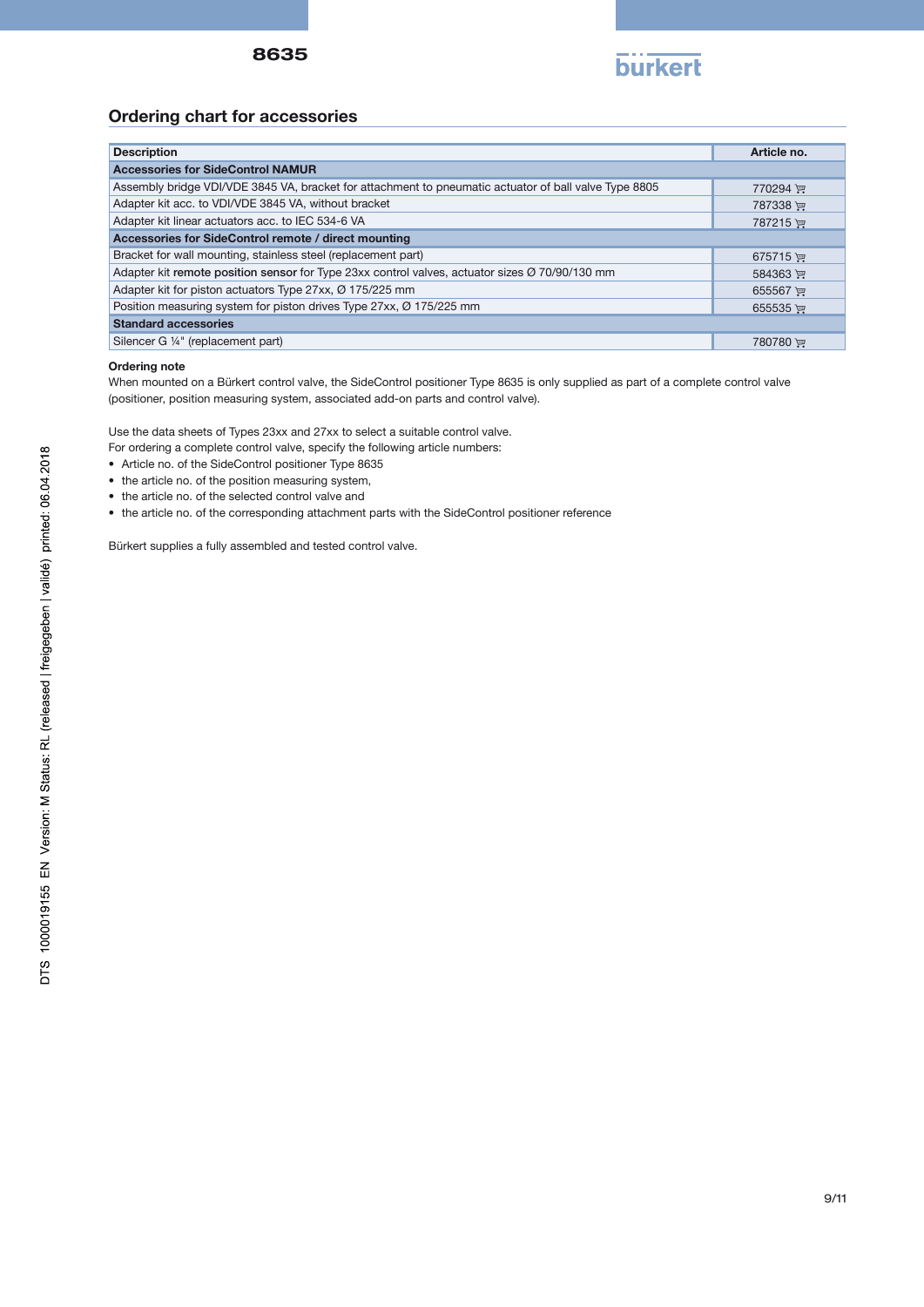

## Ordering chart for accessories

| <b>Description</b>                                                                                    | Article no. |  |  |  |
|-------------------------------------------------------------------------------------------------------|-------------|--|--|--|
| <b>Accessories for SideControl NAMUR</b>                                                              |             |  |  |  |
| Assembly bridge VDI/VDE 3845 VA, bracket for attachment to pneumatic actuator of ball valve Type 8805 | 770294      |  |  |  |
| Adapter kit acc. to VDI/VDE 3845 VA, without bracket                                                  | 787338      |  |  |  |
| Adapter kit linear actuators acc. to IEC 534-6 VA                                                     | 787215      |  |  |  |
| Accessories for SideControl remote / direct mounting                                                  |             |  |  |  |
| Bracket for wall mounting, stainless steel (replacement part)                                         | $675715$ )  |  |  |  |
| Adapter kit remote position sensor for Type 23xx control valves, actuator sizes Ø 70/90/130 mm        | 584363      |  |  |  |
| Adapter kit for piston actuators Type 27xx, Ø 175/225 mm                                              | 655567 ™    |  |  |  |
| Position measuring system for piston drives Type 27xx, Ø 175/225 mm                                   | 655535 评    |  |  |  |
| <b>Standard accessories</b>                                                                           |             |  |  |  |
| Silencer G 1/4" (replacement part)                                                                    | 780780      |  |  |  |

#### Ordering note

When mounted on a Bürkert control valve, the SideControl positioner Type 8635 is only supplied as part of a complete control valve (positioner, position measuring system, associated add-on parts and control valve).

Use the data sheets of Types 23xx and 27xx to select a suitable control valve.

For ordering a complete control valve, specify the following article numbers:

- Article no. of the SideControl positioner Type 8635
- the article no. of the position measuring system,
- the article no. of the selected control valve and
- the article no. of the corresponding attachment parts with the SideControl positioner reference

Bürkert supplies a fully assembled and tested control valve.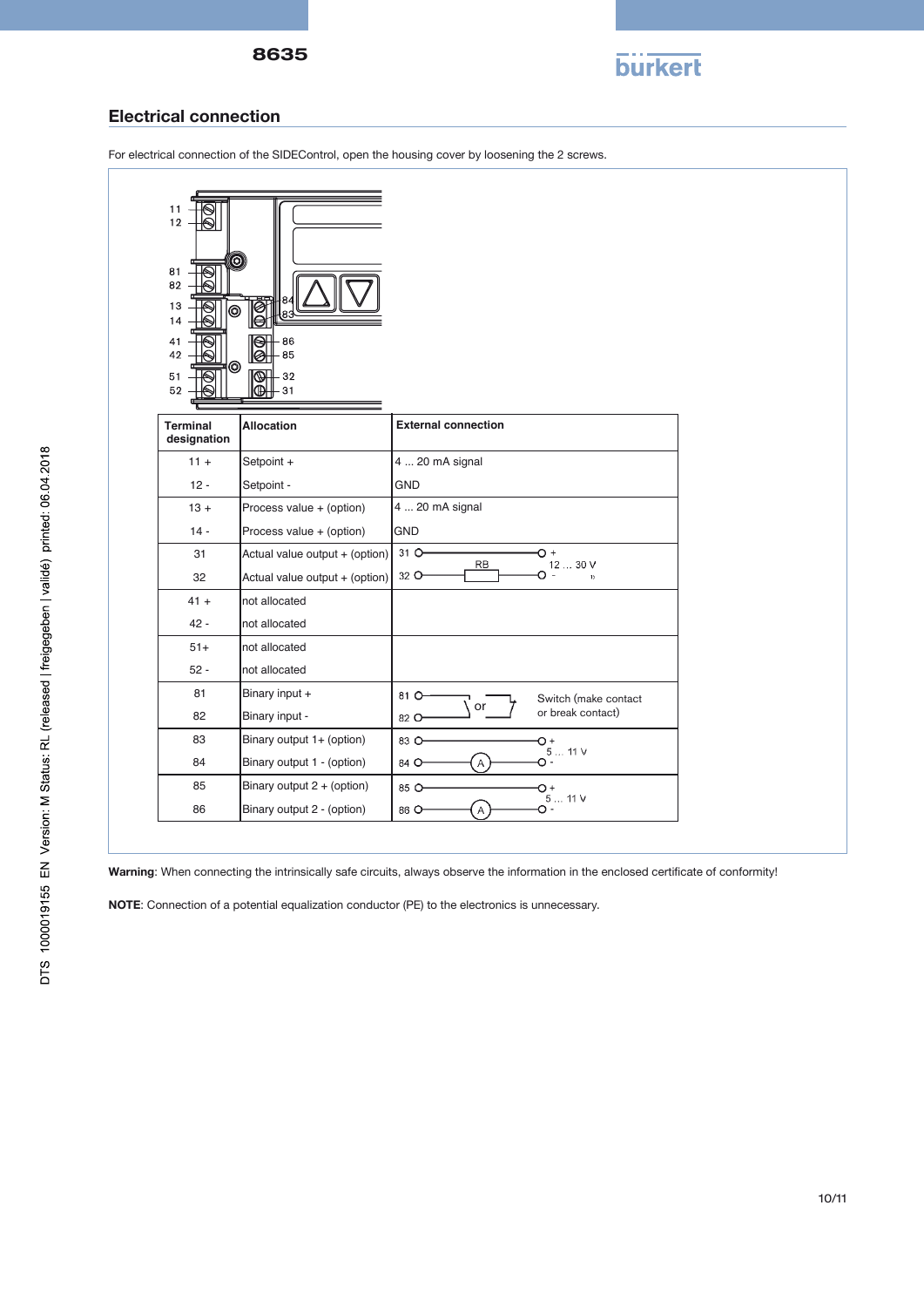

#### Electrical connection

For electrical connection of the SIDEControl, open the housing cover by loosening the 2 screws.



Warning: When connecting the intrinsically safe circuits, always observe the information in the enclosed certificate of conformity!

NOTE: Connection of a potential equalization conductor (PE) to the electronics is unnecessary.